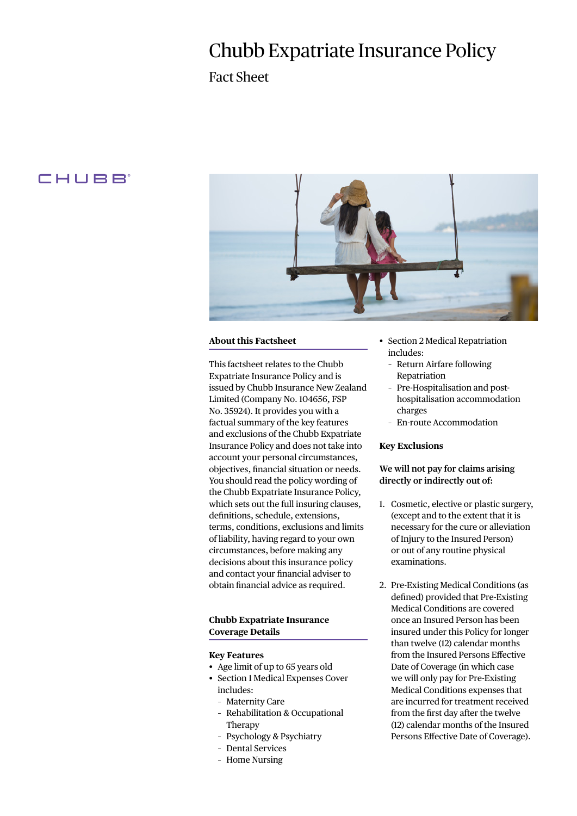# Chubb Expatriate Insurance Policy

Fact Sheet

# CHUBB



## **About this Factsheet**

This factsheet relates to the Chubb Expatriate Insurance Policy and is issued by Chubb Insurance New Zealand Limited (Company No. 104656, FSP No. 35924). It provides you with a factual summary of the key features and exclusions of the Chubb Expatriate Insurance Policy and does not take into account your personal circumstances, objectives, financial situation or needs. You should read the policy wording of the Chubb Expatriate Insurance Policy, which sets out the full insuring clauses, definitions, schedule, extensions, terms, conditions, exclusions and limits of liability, having regard to your own circumstances, before making any decisions about this insurance policy and contact your financial adviser to obtain financial advice as required.

# **Chubb Expatriate Insurance Coverage Details**

# **Key Features**

- Age limit of up to 65 years old
- Section 1 Medical Expenses Cover includes:
	- Maternity Care
	- Rehabilitation & Occupational Therapy
	- Psychology & Psychiatry
	- Dental Services
	- Home Nursing
- Section 2 Medical Repatriation includes:
	- Return Airfare following Repatriation
	- Pre-Hospitalisation and posthospitalisation accommodation charges
	- En-route Accommodation

#### **Key Exclusions**

# **We will not pay for claims arising directly or indirectly out of:**

- 1. Cosmetic, elective or plastic surgery, (except and to the extent that it is necessary for the cure or alleviation of Injury to the Insured Person) or out of any routine physical examinations.
- 2. Pre-Existing Medical Conditions (as defined) provided that Pre-Existing Medical Conditions are covered once an Insured Person has been insured under this Policy for longer than twelve (12) calendar months from the Insured Persons Effective Date of Coverage (in which case we will only pay for Pre-Existing Medical Conditions expenses that are incurred for treatment received from the first day after the twelve (12) calendar months of the Insured Persons Effective Date of Coverage).